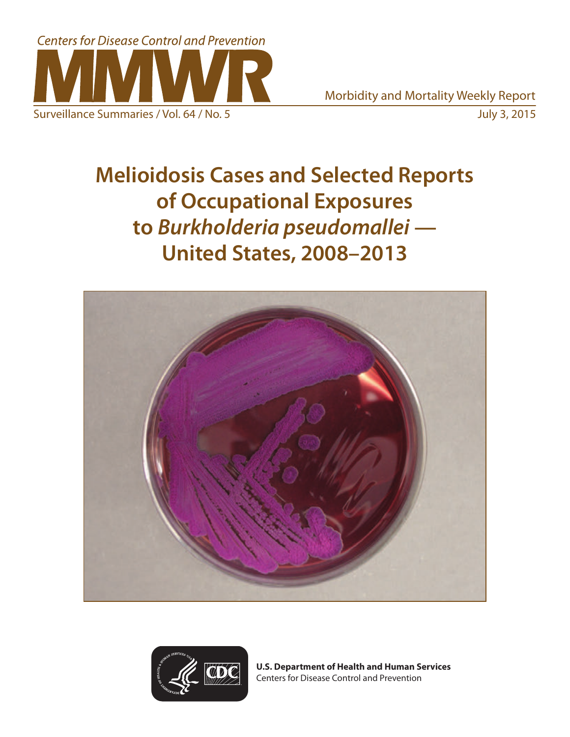

Surveillance Summaries / Vol. 64 / No. 5 July 3, 2015

**Melioidosis Cases and Selected Reports of Occupational Exposures to** *Burkholderia pseudomallei* **— United States, 2008–2013**





**U.S. Department of Health and Human Services** Centers for Disease Control and Prevention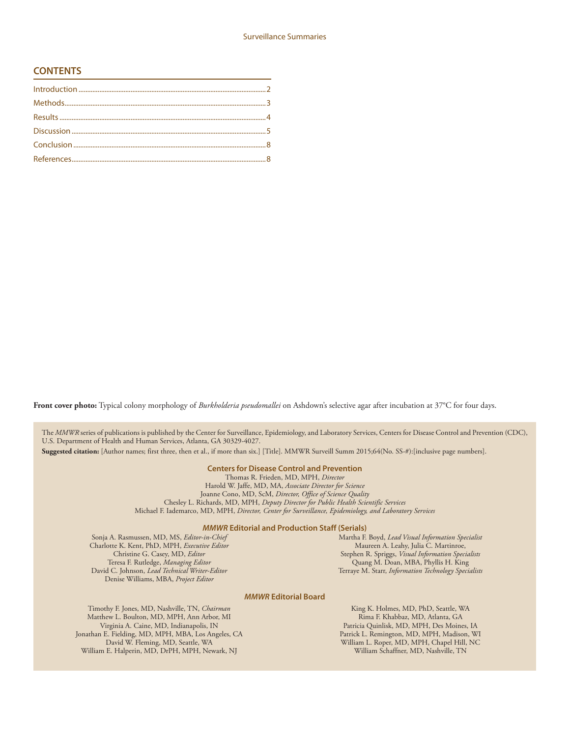### **CONTENTS**

Front cover photo: Typical colony morphology of *Burkholderia pseudomallei* on Ashdown's selective agar after incubation at 37°C for four days.

The *MMWR* series of publications is published by the Center for Surveillance, Epidemiology, and Laboratory Services, Centers for Disease Control and Prevention (CDC), U.S. Department of Health and Human Services, Atlanta, GA 30329-4027.

**Suggested citation:** [Author names; first three, then et al., if more than six.] [Title]. MMWR Surveill Summ 2015;64(No. SS-#):[inclusive page numbers].

#### **Centers for Disease Control and Prevention**

Thomas R. Frieden, MD, MPH, *Director* Harold W. Jaffe, MD, MA, *Associate Director for Science* Joanne Cono, MD, ScM, *Director, Office of Science Quality*  Chesley L. Richards, MD, MPH, *Deputy Director for Public Health Scientific Services* Michael F. Iademarco, MD, MPH, *Director, Center for Surveillance, Epidemiology, and Laboratory Services*

#### *MMWR* **Editorial and Production Staff (Serials)**

Sonja A. Rasmussen, MD, MS, *Editor-in-Chief* Charlotte K. Kent, PhD, MPH, *Executive Editor* Christine G. Casey, MD, *Editor* Teresa F. Rutledge, *Managing Editor* David C. Johnson, *Lead Technical Writer-Editor* Denise Williams, MBA, *Project Editor*

Martha F. Boyd, *Lead Visual Information Specialist* Maureen A. Leahy, Julia C. Martinroe, Stephen R. Spriggs, *Visual Information Specialists* Quang M. Doan, MBA, Phyllis H. King Terraye M. Starr, *Information Technology Specialists*

#### *MMWR* **Editorial Board**

Timothy F. Jones, MD, Nashville, TN, *Chairman* Matthew L. Boulton, MD, MPH, Ann Arbor, MI Virginia A. Caine, MD, Indianapolis, IN Jonathan E. Fielding, MD, MPH, MBA, Los Angeles, CA David W. Fleming, MD, Seattle, WA William E. Halperin, MD, DrPH, MPH, Newark, NJ

King K. Holmes, MD, PhD, Seattle, WA Rima F. Khabbaz, MD, Atlanta, GA Patricia Quinlisk, MD, MPH, Des Moines, IA Patrick L. Remington, MD, MPH, Madison, WI William L. Roper, MD, MPH, Chapel Hill, NC William Schaffner, MD, Nashville, TN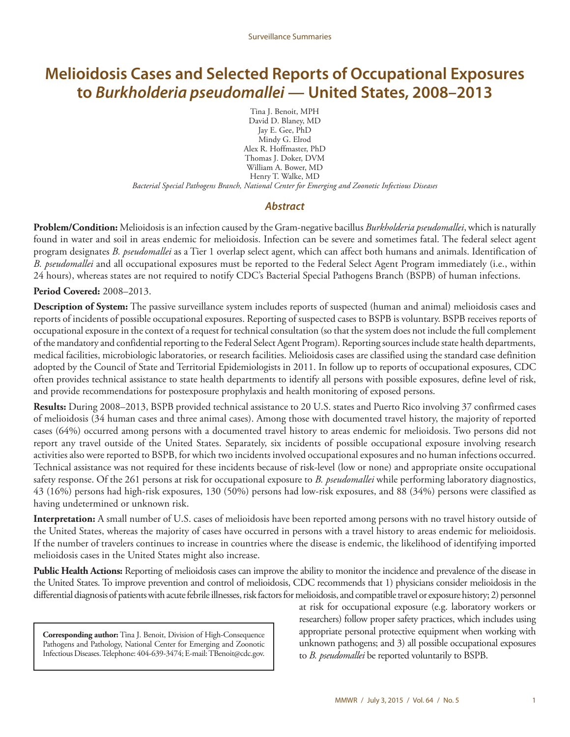# **Melioidosis Cases and Selected Reports of Occupational Exposures to** *Burkholderia pseudomallei* **— United States, 2008–2013**

Tina J. Benoit, MPH David D. Blaney, MD Jay E. Gee, PhD Mindy G. Elrod Alex R. Hoffmaster, PhD Thomas J. Doker, DVM William A. Bower, MD Henry T. Walke, MD

*Bacterial Special Pathogens Branch, National Center for Emerging and Zoonotic Infectious Diseases*

### *Abstract*

**Problem/Condition:** Melioidosis is an infection caused by the Gram-negative bacillus *Burkholderia pseudomallei*, which is naturally found in water and soil in areas endemic for melioidosis. Infection can be severe and sometimes fatal. The federal select agent program designates *B. pseudomallei* as a Tier 1 overlap select agent, which can affect both humans and animals. Identification of *B. pseudomallei* and all occupational exposures must be reported to the Federal Select Agent Program immediately (i.e., within 24 hours), whereas states are not required to notify CDC's Bacterial Special Pathogens Branch (BSPB) of human infections.

**Period Covered:** 2008–2013.

**Description of System:** The passive surveillance system includes reports of suspected (human and animal) melioidosis cases and reports of incidents of possible occupational exposures. Reporting of suspected cases to BSPB is voluntary. BSPB receives reports of occupational exposure in the context of a request for technical consultation (so that the system does not include the full complement of the mandatory and confidential reporting to the Federal Select Agent Program). Reporting sources include state health departments, medical facilities, microbiologic laboratories, or research facilities. Melioidosis cases are classified using the standard case definition adopted by the Council of State and Territorial Epidemiologists in 2011. In follow up to reports of occupational exposures, CDC often provides technical assistance to state health departments to identify all persons with possible exposures, define level of risk, and provide recommendations for postexposure prophylaxis and health monitoring of exposed persons.

**Results:** During 2008–2013, BSPB provided technical assistance to 20 U.S. states and Puerto Rico involving 37 confirmed cases of melioidosis (34 human cases and three animal cases). Among those with documented travel history, the majority of reported cases (64%) occurred among persons with a documented travel history to areas endemic for melioidosis. Two persons did not report any travel outside of the United States. Separately, six incidents of possible occupational exposure involving research activities also were reported to BSPB, for which two incidents involved occupational exposures and no human infections occurred. Technical assistance was not required for these incidents because of risk-level (low or none) and appropriate onsite occupational safety response. Of the 261 persons at risk for occupational exposure to *B. pseudomallei* while performing laboratory diagnostics, 43 (16%) persons had high-risk exposures, 130 (50%) persons had low-risk exposures, and 88 (34%) persons were classified as having undetermined or unknown risk.

**Interpretation:** A small number of U.S. cases of melioidosis have been reported among persons with no travel history outside of the United States, whereas the majority of cases have occurred in persons with a travel history to areas endemic for melioidosis. If the number of travelers continues to increase in countries where the disease is endemic, the likelihood of identifying imported melioidosis cases in the United States might also increase.

**Public Health Actions:** Reporting of melioidosis cases can improve the ability to monitor the incidence and prevalence of the disease in the United States. To improve prevention and control of melioidosis, CDC recommends that 1) physicians consider melioidosis in the differential diagnosis of patients with acute febrile illnesses, risk factors for melioidosis, and compatible travel or exposure history; 2) personnel

**Corresponding author:** Tina J. Benoit, Division of High-Consequence Pathogens and Pathology, National Center for Emerging and Zoonotic Infectious Diseases. Telephone: 404-639-3474; E-mail: [TBenoit@cdc.gov](mailto:TBenoit@cdc.gov). at risk for occupational exposure (e.g. laboratory workers or researchers) follow proper safety practices, which includes using appropriate personal protective equipment when working with unknown pathogens; and 3) all possible occupational exposures to *B. pseudomallei* be reported voluntarily to BSPB.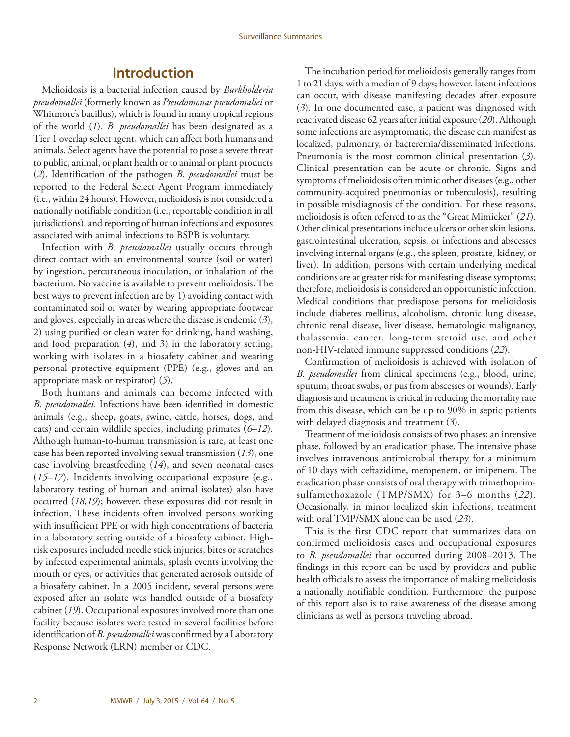# **Introduction**

<span id="page-3-0"></span>Melioidosis is a bacterial infection caused by *Burkholderia pseudomallei* (formerly known as *Pseudomonas pseudomallei* or Whitmore's bacillus), which is found in many tropical regions of the world (*1*). *B. pseudomallei* has been designated as a Tier 1 overlap select agent, which can affect both humans and animals. Select agents have the potential to pose a severe threat to public, animal, or plant health or to animal or plant products (*2*). Identification of the pathogen *B. pseudomallei* must be reported to the Federal Select Agent Program immediately (i.e., within 24 hours). However, melioidosis is not considered a nationally notifiable condition (i.e., reportable condition in all jurisdictions), and reporting of human infections and exposures associated with animal infections to BSPB is voluntary.

Infection with *B. pseudomallei* usually occurs through direct contact with an environmental source (soil or water) by ingestion, percutaneous inoculation, or inhalation of the bacterium. No vaccine is available to prevent melioidosis. The best ways to prevent infection are by 1) avoiding contact with contaminated soil or water by wearing appropriate footwear and gloves, especially in areas where the disease is endemic (*3*), 2) using purified or clean water for drinking, hand washing, and food preparation (*4*), and 3) in the laboratory setting, working with isolates in a biosafety cabinet and wearing personal protective equipment (PPE) (e.g., gloves and an appropriate mask or respirator) (*5*).

Both humans and animals can become infected with *B. pseudomallei*. Infections have been identified in domestic animals (e.g., sheep, goats, swine, cattle, horses, dogs, and cats) and certain wildlife species, including primates (*6*–*12*). Although human-to-human transmission is rare, at least one case has been reported involving sexual transmission (*13*), one case involving breastfeeding (*14*), and seven neonatal cases (*15*–*17*). Incidents involving occupational exposure (e.g., laboratory testing of human and animal isolates) also have occurred (*18*,*19*); however, these exposures did not result in infection. These incidents often involved persons working with insufficient PPE or with high concentrations of bacteria in a laboratory setting outside of a biosafety cabinet. Highrisk exposures included needle stick injuries, bites or scratches by infected experimental animals, splash events involving the mouth or eyes, or activities that generated aerosols outside of a biosafety cabinet. In a 2005 incident, several persons were exposed after an isolate was handled outside of a biosafety cabinet (*19*). Occupational exposures involved more than one facility because isolates were tested in several facilities before identification of *B. pseudomallei* was confirmed by a Laboratory Response Network (LRN) member or CDC.

The incubation period for melioidosis generally ranges from 1 to 21 days, with a median of 9 days; however, latent infections can occur, with disease manifesting decades after exposure (*3*). In one documented case, a patient was diagnosed with reactivated disease 62 years after initial exposure (*20*). Although some infections are asymptomatic, the disease can manifest as localized, pulmonary, or bacteremia/disseminated infections. Pneumonia is the most common clinical presentation (*3*). Clinical presentation can be acute or chronic. Signs and symptoms of melioidosis often mimic other diseases (e.g., other community-acquired pneumonias or tuberculosis), resulting in possible misdiagnosis of the condition. For these reasons, melioidosis is often referred to as the "Great Mimicker" (*21*). Other clinical presentations include ulcers or other skin lesions, gastrointestinal ulceration, sepsis, or infections and abscesses involving internal organs (e.g., the spleen, prostate, kidney, or liver). In addition, persons with certain underlying medical conditions are at greater risk for manifesting disease symptoms; therefore, melioidosis is considered an opportunistic infection. Medical conditions that predispose persons for melioidosis include diabetes mellitus, alcoholism, chronic lung disease, chronic renal disease, liver disease, hematologic malignancy, thalassemia, cancer, long-term steroid use, and other non-HIV-related immune suppressed conditions (*22*).

Confirmation of melioidosis is achieved with isolation of *B. pseudomallei* from clinical specimens (e.g., blood, urine, sputum, throat swabs, or pus from abscesses or wounds). Early diagnosis and treatment is critical in reducing the mortality rate from this disease, which can be up to 90% in septic patients with delayed diagnosis and treatment (*3*).

Treatment of melioidosis consists of two phases: an intensive phase, followed by an eradication phase. The intensive phase involves intravenous antimicrobial therapy for a minimum of 10 days with ceftazidime, meropenem, or imipenem. The eradication phase consists of oral therapy with trimethoprimsulfamethoxazole (TMP/SMX) for 3–6 months (*22*). Occasionally, in minor localized skin infections, treatment with oral TMP/SMX alone can be used (*23*).

This is the first CDC report that summarizes data on confirmed melioidosis cases and occupational exposures to *B. pseudomallei* that occurred during 2008–2013. The findings in this report can be used by providers and public health officials to assess the importance of making melioidosis a nationally notifiable condition. Furthermore, the purpose of this report also is to raise awareness of the disease among clinicians as well as persons traveling abroad.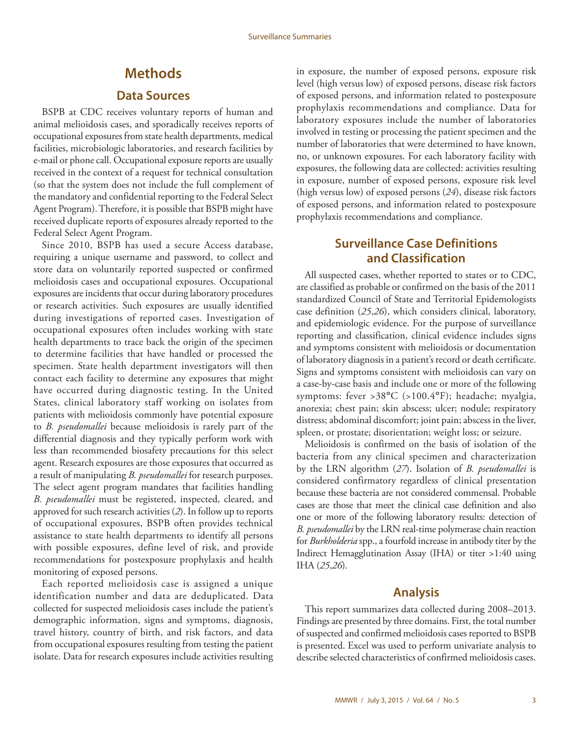### **Methods**

### **Data Sources**

<span id="page-4-0"></span>BSPB at CDC receives voluntary reports of human and animal melioidosis cases, and sporadically receives reports of occupational exposures from state health departments, medical facilities, microbiologic laboratories, and research facilities by e-mail or phone call. Occupational exposure reports are usually received in the context of a request for technical consultation (so that the system does not include the full complement of the mandatory and confidential reporting to the Federal Select Agent Program). Therefore, it is possible that BSPB might have received duplicate reports of exposures already reported to the Federal Select Agent Program.

Since 2010, BSPB has used a secure Access database, requiring a unique username and password, to collect and store data on voluntarily reported suspected or confirmed melioidosis cases and occupational exposures. Occupational exposures are incidents that occur during laboratory procedures or research activities. Such exposures are usually identified during investigations of reported cases. Investigation of occupational exposures often includes working with state health departments to trace back the origin of the specimen to determine facilities that have handled or processed the specimen. State health department investigators will then contact each facility to determine any exposures that might have occurred during diagnostic testing. In the United States, clinical laboratory staff working on isolates from patients with melioidosis commonly have potential exposure to *B. pseudomallei* because melioidosis is rarely part of the differential diagnosis and they typically perform work with less than recommended biosafety precautions for this select agent. Research exposures are those exposures that occurred as a result of manipulating *B. pseudomallei* for research purposes. The select agent program mandates that facilities handling *B. pseudomallei* must be registered, inspected, cleared, and approved for such research activities (*2*). In follow up to reports of occupational exposures, BSPB often provides technical assistance to state health departments to identify all persons with possible exposures, define level of risk, and provide recommendations for postexposure prophylaxis and health monitoring of exposed persons.

Each reported melioidosis case is assigned a unique identification number and data are deduplicated. Data collected for suspected melioidosis cases include the patient's demographic information, signs and symptoms, diagnosis, travel history, country of birth, and risk factors, and data from occupational exposures resulting from testing the patient isolate. Data for research exposures include activities resulting in exposure, the number of exposed persons, exposure risk level (high versus low) of exposed persons, disease risk factors of exposed persons, and information related to postexposure prophylaxis recommendations and compliance. Data for laboratory exposures include the number of laboratories involved in testing or processing the patient specimen and the number of laboratories that were determined to have known, no, or unknown exposures. For each laboratory facility with exposures, the following data are collected: activities resulting in exposure, number of exposed persons, exposure risk level (high versus low) of exposed persons (*24*), disease risk factors of exposed persons, and information related to postexposure prophylaxis recommendations and compliance.

# **Surveillance Case Definitions and Classification**

All suspected cases, whether reported to states or to CDC, are classified as probable or confirmed on the basis of the 2011 standardized Council of State and Territorial Epidemologists case definition (*25*,*26*), which considers clinical, laboratory, and epidemiologic evidence. For the purpose of surveillance reporting and classification, clinical evidence includes signs and symptoms consistent with melioidosis or documentation of laboratory diagnosis in a patient's record or death certificate. Signs and symptoms consistent with melioidosis can vary on a case-by-case basis and include one or more of the following symptoms: fever >38**°**C (>100.4**°**F); headache; myalgia, anorexia; chest pain; skin abscess; ulcer; nodule; respiratory distress; abdominal discomfort; joint pain; abscess in the liver, spleen, or prostate; disorientation; weight loss; or seizure.

Melioidosis is confirmed on the basis of isolation of the bacteria from any clinical specimen and characterization by the LRN algorithm (*27*). Isolation of *B. pseudomallei* is considered confirmatory regardless of clinical presentation because these bacteria are not considered commensal. Probable cases are those that meet the clinical case definition and also one or more of the following laboratory results: detection of *B. pseudomallei* by the LRN real-time polymerase chain reaction for *Burkholderia* spp., a fourfold increase in antibody titer by the Indirect Hemagglutination Assay (IHA) or titer >1:40 using IHA (*25*,*26*).

### **Analysis**

This report summarizes data collected during 2008–2013. Findings are presented by three domains. First, the total number of suspected and confirmed melioidosis cases reported to BSPB is presented. Excel was used to perform univariate analysis to describe selected characteristics of confirmed melioidosis cases.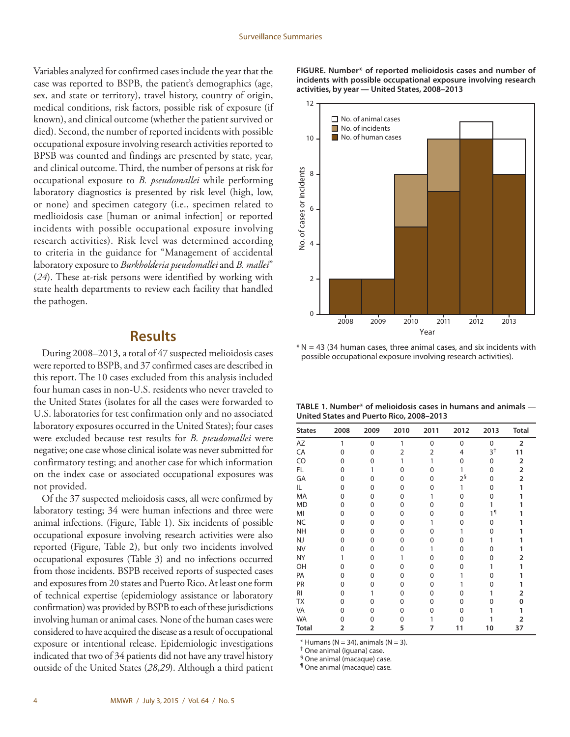<span id="page-5-0"></span>Variables analyzed for confirmed cases include the year that the case was reported to BSPB, the patient's demographics (age, sex, and state or territory), travel history, country of origin, medical conditions, risk factors, possible risk of exposure (if known), and clinical outcome (whether the patient survived or died). Second, the number of reported incidents with possible occupational exposure involving research activities reported to BPSB was counted and findings are presented by state, year, and clinical outcome. Third, the number of persons at risk for occupational exposure to *B. pseudomallei* while performing laboratory diagnostics is presented by risk level (high, low, or none) and specimen category (i.e., specimen related to medlioidosis case [human or animal infection] or reported incidents with possible occupational exposure involving research activities). Risk level was determined according to criteria in the guidance for "Management of accidental laboratory exposure to *Burkholderia pseudomallei* and *B. mallei*" (*24*). These at-risk persons were identified by working with state health departments to review each facility that handled the pathogen.

# **Results**

During 2008–2013, a total of 47 suspected melioidosis cases were reported to BSPB, and 37 confirmed cases are described in this report. The 10 cases excluded from this analysis included four human cases in non-U.S. residents who never traveled to the United States (isolates for all the cases were forwarded to U.S. laboratories for test confirmation only and no associated laboratory exposures occurred in the United States); four cases were excluded because test results for *B. pseudomallei* were negative; one case whose clinical isolate was never submitted for confirmatory testing; and another case for which information on the index case or associated occupational exposures was not provided.

Of the 37 suspected melioidosis cases, all were confirmed by laboratory testing; 34 were human infections and three were animal infections. (Figure, Table 1). Six incidents of possible occupational exposure involving research activities were also reported (Figure, Table 2), but only two incidents involved occupational exposures (Table 3) and no infections occurred from those incidents. BSPB received reports of suspected cases and exposures from 20 states and Puerto Rico. At least one form of technical expertise (epidemiology assistance or laboratory confirmation) was provided by BSPB to each of these jurisdictions involving human or animal cases. None of the human cases were considered to have acquired the disease as a result of occupational exposure or intentional release. Epidemiologic investigations indicated that two of 34 patients did not have any travel history outside of the United States (*28*,*29*). Although a third patient **FIGURE. Number\* of reported melioidosis cases and number of incidents with possible occupational exposure involving research activities, by year — United States, 2008–2013**



 $* N = 43$  (34 human cases, three animal cases, and six incidents with possible occupational exposure involving research activities).

| TABLE 1. Number* of melioidosis cases in humans and animals $-$ |  |
|-----------------------------------------------------------------|--|
| United States and Puerto Rico, 2008-2013                        |  |

| <b>States</b> | 2008           | 2009     | 2010 | 2011           | 2012              | 2013           | <b>Total</b>   |
|---------------|----------------|----------|------|----------------|-------------------|----------------|----------------|
| AZ            | 1              | $\Omega$ | 1    | $\mathbf{0}$   | $\Omega$          | $\Omega$       | $\overline{2}$ |
| CA            | 0              | $\Omega$ | 2    | $\overline{2}$ | 4                 | 3 <sup>†</sup> | 11             |
| CO            | 0              | 0        | 1    |                | $\Omega$          | $\Omega$       | $\overline{2}$ |
| FL            | 0              |          | 0    | U              | 1                 | $\Omega$       | $\overline{2}$ |
| GA            | 0              | O        | 0    | 0              | $2^{\frac{5}{3}}$ | 0              | 2              |
| IL            | 0              | 0        | 0    | 0              | 1                 | 0              | 1              |
| MA            | 0              | 0        | 0    | 1              | 0                 | 0              |                |
| <b>MD</b>     | 0              | 0        | 0    | ი              | 0                 |                |                |
| MI            | 0              | 0        | 0    | 0              | 0                 | 1 <sup>1</sup> |                |
| <b>NC</b>     | 0              | 0        | 0    |                | 0                 | 0              |                |
| <b>NH</b>     | 0              | 0        | 0    | ი              | 1                 | 0              |                |
| NJ            | 0              | 0        | 0    | ი              | O                 |                |                |
| <b>NV</b>     | 0              | 0        | 0    |                | 0                 | U              |                |
| <b>NY</b>     | 1              | 0        | 1    | O              | 0                 | 0              | 2              |
| OH            | 0              | 0        | 0    | 0              | 0                 |                | 1              |
| PA            | 0              | 0        | 0    | 0              |                   | 0              |                |
| PR            | 0              | 0        | 0    | 0              |                   | U              |                |
| RI            | 0              |          | 0    | 0              | 0                 |                | 2              |
| <b>TX</b>     | 0              | Ω        | 0    | O              | 0                 | n              | U              |
| VA            | 0              | 0        | 0    | 0              | 0                 |                |                |
| <b>WA</b>     | U              |          | 0    |                | O                 |                | 2              |
| <b>Total</b>  | $\overline{2}$ | 2        | 5    | 7              | 11                | 10             | 37             |

 $*$  Humans (N = 34), animals (N = 3).

† One animal (iguana) case.<br>§ One animal (macaque) case.<br>¶ One animal (macaque) case.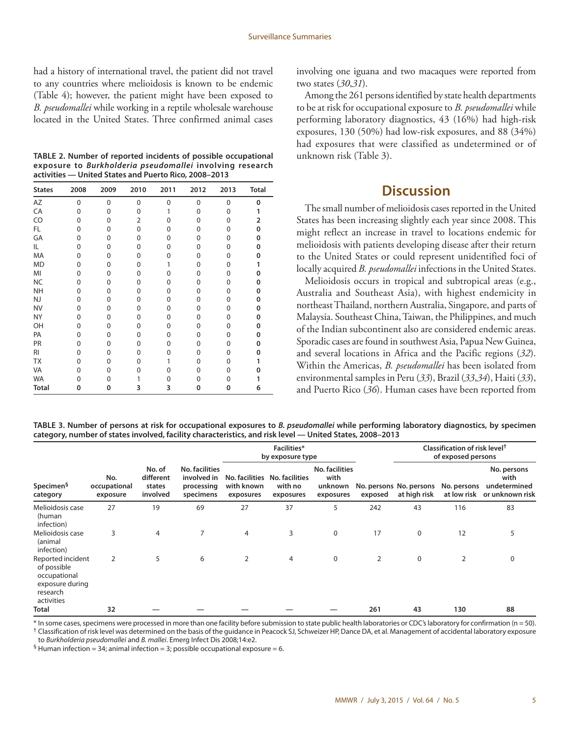<span id="page-6-0"></span>had a history of international travel, the patient did not travel to any countries where melioidosis is known to be endemic (Table 4); however, the patient might have been exposed to *B. pseudomallei* while working in a reptile wholesale warehouse located in the United States. Three confirmed animal cases

**TABLE 2. Number of reported incidents of possible occupational exposure to** *Burkholderia pseudomallei* **involving research activities — United States and Puerto Rico, 2008–2013**

| <b>States</b>  | 2008 | 2009 | 2010           | 2011     | 2012     | 2013     | <b>Total</b> |
|----------------|------|------|----------------|----------|----------|----------|--------------|
| AZ             | 0    | 0    | 0              | 0        | $\Omega$ | $\Omega$ | 0            |
| CA             | 0    | 0    | 0              | 1        | $\Omega$ | 0        | 1            |
| CO             | 0    | 0    | $\overline{2}$ | 0        | 0        | 0        | 2            |
| FL             | 0    | 0    | 0              | $\Omega$ | 0        | 0        | 0            |
| GA             | 0    | 0    | 0              | 0        | 0        | 0        | 0            |
| IL             | 0    | 0    | $\Omega$       | $\Omega$ | 0        | 0        | 0            |
| MA             | 0    | 0    | $\Omega$       | 0        | 0        | 0        | 0            |
| <b>MD</b>      | 0    | 0    | 0              | 1        | 0        | 0        | 1            |
| MI             | 0    | 0    | 0              | 0        | 0        | 0        | 0            |
| <b>NC</b>      | 0    | 0    | 0              | $\Omega$ | 0        | 0        | 0            |
| <b>NH</b>      | 0    | 0    | 0              | 0        | 0        | 0        | 0            |
| NJ             | 0    | 0    | 0              | 0        | 0        | 0        | 0            |
| <b>NV</b>      | 0    | 0    | 0              | 0        | 0        | 0        | 0            |
| <b>NY</b>      | 0    | 0    | 0              | $\Omega$ | 0        | 0        | 0            |
| OH             | 0    | 0    | 0              | 0        | 0        | 0        | 0            |
| PA             | 0    | 0    | 0              | $\Omega$ | 0        | 0        | 0            |
| PR             | 0    | 0    | $\Omega$       | $\Omega$ | 0        | 0        | 0            |
| R <sub>l</sub> | 0    | 0    | $\Omega$       | 0        | 0        | 0        | 0            |
| <b>TX</b>      | 0    | 0    | $\Omega$       | 1        | 0        | 0        | 1            |
| VA             | 0    | 0    | 0              | 0        | 0        | 0        | 0            |
| <b>WA</b>      | U    | 0    |                | 0        | 0        | 0        |              |
| <b>Total</b>   | 0    | 0    | 3              | 3        | 0        | 0        | 6            |

involving one iguana and two macaques were reported from two states (*30*,*31*).

Among the 261 persons identified by state health departments to be at risk for occupational exposure to *B. pseudomallei* while performing laboratory diagnostics, 43 (16%) had high-risk exposures, 130 (50%) had low-risk exposures, and 88 (34%) had exposures that were classified as undetermined or of unknown risk (Table 3).

# **Discussion**

The small number of melioidosis cases reported in the United States has been increasing slightly each year since 2008. This might reflect an increase in travel to locations endemic for melioidosis with patients developing disease after their return to the United States or could represent unidentified foci of locally acquired *B. pseudomallei* infections in the United States.

Melioidosis occurs in tropical and subtropical areas (e.g., Australia and Southeast Asia), with highest endemicity in northeast Thailand, northern Australia, Singapore, and parts of Malaysia. Southeast China, Taiwan, the Philippines, and much of the Indian subcontinent also are considered endemic areas. Sporadic cases are found in southwest Asia, Papua New Guinea, and several locations in Africa and the Pacific regions (*32*). Within the Americas, *B. pseudomallei* has been isolated from environmental samples in Peru (*33*), Brazil (*33*,*34*), Haiti (*33*), and Puerto Rico (*36*). Human cases have been reported from

**TABLE 3. Number of persons at risk for occupational exposures to** *B. pseudomallei* **while performing laboratory diagnostics, by specimen category, number of states involved, facility characteristics, and risk level — United States, 2008–2013**

|                                                                                               |                                           |                                                                 | Facilities*<br>by exposure type |                                                       |                                                       | Classification of risk level <sup>†</sup><br>of exposed persons |                                         |                            |                                                        |    |
|-----------------------------------------------------------------------------------------------|-------------------------------------------|-----------------------------------------------------------------|---------------------------------|-------------------------------------------------------|-------------------------------------------------------|-----------------------------------------------------------------|-----------------------------------------|----------------------------|--------------------------------------------------------|----|
| No.<br>Specimen <sup>§</sup><br>occupational<br>category<br>exposure                          | No. of<br>different<br>states<br>involved | <b>No. facilities</b><br>involved in<br>processing<br>specimens | with known<br>exposures         | No. facilities No. facilities<br>with no<br>exposures | <b>No. facilities</b><br>with<br>unknown<br>exposures | exposed                                                         | No. persons No. persons<br>at high risk | No. persons<br>at low risk | No. persons<br>with<br>undetermined<br>or unknown risk |    |
| Melioidosis case<br>(human<br>infection)                                                      | 27                                        | 19                                                              | 69                              | 27                                                    | 37                                                    | 5                                                               | 242                                     | 43                         | 116                                                    | 83 |
| Melioidosis case<br>(animal<br>infection)                                                     | 3                                         | 4                                                               | 7                               | 4                                                     | 3                                                     | 0                                                               | 17                                      | 0                          | 12                                                     | 5  |
| Reported incident<br>of possible<br>occupational<br>exposure during<br>research<br>activities | 2                                         | 5                                                               | 6                               | 2                                                     | 4                                                     | 0                                                               | 2                                       | $\mathbf 0$                | 2                                                      | 0  |
| Total                                                                                         | 32                                        |                                                                 |                                 |                                                       |                                                       |                                                                 | 261                                     | 43                         | 130                                                    | 88 |

\* In some cases, specimens were processed in more than one facility before submission to state public health laboratories or CDC's laboratory for confirmation (n = 50). <sup>†</sup> Classification of risk level was determined on the basis of the quidance in Peacock SJ, Schweizer HP, Dance DA, et al. Management of accidental laboratory exposure to *Burkholderia pseudomallei* and *B. mallei*. Emerg Infect Dis 2008;14:e2.

 $\frac{6}{5}$  Human infection = 34; animal infection = 3; possible occupational exposure = 6.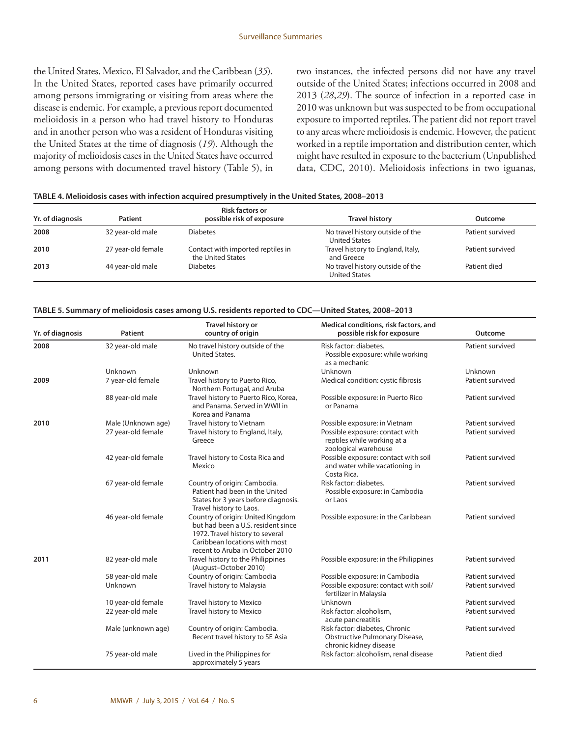the United States, Mexico, El Salvador, and the Caribbean (*35*). In the United States, reported cases have primarily occurred among persons immigrating or visiting from areas where the disease is endemic. For example, a previous report documented melioidosis in a person who had travel history to Honduras and in another person who was a resident of Honduras visiting the United States at the time of diagnosis (*19*). Although the majority of melioidosis cases in the United States have occurred among persons with documented travel history (Table 5), in two instances, the infected persons did not have any travel outside of the United States; infections occurred in 2008 and 2013 (*28*,*29*). The source of infection in a reported case in 2010 was unknown but was suspected to be from occupational exposure to imported reptiles. The patient did not report travel to any areas where melioidosis is endemic. However, the patient worked in a reptile importation and distribution center, which might have resulted in exposure to the bacterium (Unpublished data, CDC, 2010). Melioidosis infections in two iguanas,

| TABLE 4. Melioidosis cases with infection acquired presumptively in the United States, 2008-2013 |  |  |
|--------------------------------------------------------------------------------------------------|--|--|
|                                                                                                  |  |  |

| Yr. of diagnosis | Patient            | <b>Risk factors or</b><br>possible risk of exposure    | <b>Travel history</b>                                    | Outcome          |
|------------------|--------------------|--------------------------------------------------------|----------------------------------------------------------|------------------|
| 2008             | 32 year-old male   | <b>Diabetes</b>                                        | No travel history outside of the<br><b>United States</b> | Patient survived |
| 2010             | 27 year-old female | Contact with imported reptiles in<br>the United States | Travel history to England, Italy,<br>and Greece          | Patient survived |
| 2013             | 44 year-old male   | <b>Diabetes</b>                                        | No travel history outside of the<br><b>United States</b> | Patient died     |

|  |  | TABLE 5. Summary of melioidosis cases among U.S. residents reported to CDC—United States, 2008–2013 |
|--|--|-----------------------------------------------------------------------------------------------------|
|  |  |                                                                                                     |

| Yr. of diagnosis | <b>Patient</b>     | Travel history or<br>country of origin                                                                                                                                         | Medical conditions, risk factors, and<br>possible risk for exposure                        | Outcome          |
|------------------|--------------------|--------------------------------------------------------------------------------------------------------------------------------------------------------------------------------|--------------------------------------------------------------------------------------------|------------------|
| 2008             | 32 year-old male   | No travel history outside of the<br>United States.                                                                                                                             | Risk factor: diabetes.<br>Possible exposure: while working<br>as a mechanic                | Patient survived |
|                  | Unknown            | Unknown                                                                                                                                                                        | Unknown                                                                                    | Unknown          |
| 2009             | 7 year-old female  | Travel history to Puerto Rico,<br>Northern Portugal, and Aruba                                                                                                                 | Medical condition: cystic fibrosis                                                         | Patient survived |
|                  | 88 year-old male   | Travel history to Puerto Rico, Korea,<br>and Panama. Served in WWII in<br>Korea and Panama                                                                                     | Possible exposure: in Puerto Rico<br>or Panama                                             | Patient survived |
| 2010             | Male (Unknown age) | Travel history to Vietnam                                                                                                                                                      | Possible exposure: in Vietnam                                                              | Patient survived |
|                  | 27 year-old female | Travel history to England, Italy,<br>Greece                                                                                                                                    | Possible exposure: contact with<br>reptiles while working at a<br>zoological warehouse     | Patient survived |
|                  | 42 year-old female | Travel history to Costa Rica and<br>Mexico                                                                                                                                     | Possible exposure: contact with soil<br>and water while vacationing in<br>Costa Rica.      | Patient survived |
|                  | 67 year-old female | Country of origin: Cambodia.<br>Patient had been in the United<br>States for 3 years before diagnosis.<br>Travel history to Laos.                                              | Risk factor: diabetes.<br>Possible exposure: in Cambodia<br>or Laos                        | Patient survived |
|                  | 46 year-old female | Country of origin: United Kingdom<br>but had been a U.S. resident since<br>1972. Travel history to several<br>Caribbean locations with most<br>recent to Aruba in October 2010 | Possible exposure: in the Caribbean                                                        | Patient survived |
| 2011             | 82 year-old male   | Travel history to the Philippines<br>(August-October 2010)                                                                                                                     | Possible exposure: in the Philippines                                                      | Patient survived |
|                  | 58 year-old male   | Country of origin: Cambodia                                                                                                                                                    | Possible exposure: in Cambodia                                                             | Patient survived |
|                  | Unknown            | Travel history to Malaysia                                                                                                                                                     | Possible exposure: contact with soil/<br>fertilizer in Malaysia                            | Patient survived |
|                  | 10 year-old female | Travel history to Mexico                                                                                                                                                       | <b>Unknown</b>                                                                             | Patient survived |
|                  | 22 year-old male   | Travel history to Mexico                                                                                                                                                       | Risk factor: alcoholism,<br>acute pancreatitis                                             | Patient survived |
|                  | Male (unknown age) | Country of origin: Cambodia.<br>Recent travel history to SE Asia                                                                                                               | Risk factor: diabetes, Chronic<br>Obstructive Pulmonary Disease,<br>chronic kidney disease | Patient survived |
|                  | 75 year-old male   | Lived in the Philippines for<br>approximately 5 years                                                                                                                          | Risk factor: alcoholism, renal disease                                                     | Patient died     |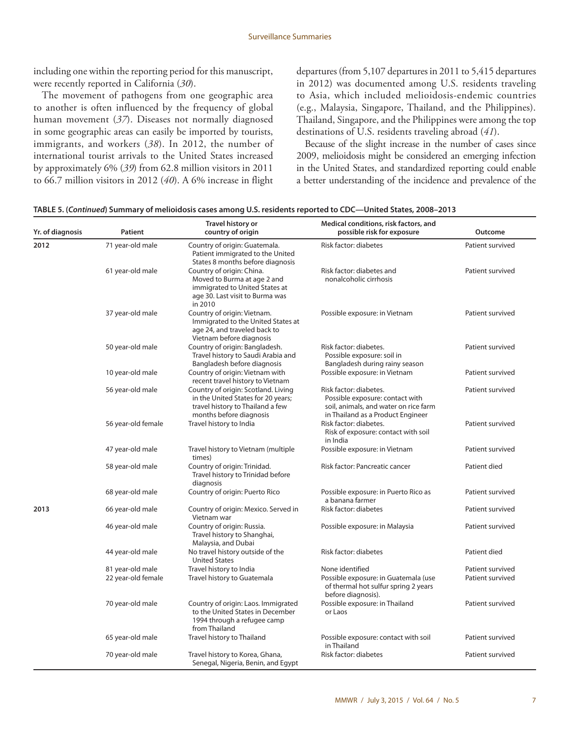including one within the reporting period for this manuscript, were recently reported in California (*30*).

The movement of pathogens from one geographic area to another is often influenced by the frequency of global human movement (*37*). Diseases not normally diagnosed in some geographic areas can easily be imported by tourists, immigrants, and workers (*38*). In 2012, the number of international tourist arrivals to the United States increased by approximately 6% (*39*) from 62.8 million visitors in 2011 to 66.7 million visitors in 2012 (*40*). A 6% increase in flight departures (from 5,107 departures in 2011 to 5,415 departures in 2012) was documented among U.S. residents traveling to Asia, which included melioidosis-endemic countries (e.g., Malaysia, Singapore, Thailand, and the Philippines). Thailand, Singapore, and the Philippines were among the top destinations of U.S. residents traveling abroad (*41*).

Because of the slight increase in the number of cases since 2009, melioidosis might be considered an emerging infection in the United States, and standardized reporting could enable a better understanding of the incidence and prevalence of the

| Yr. of diagnosis | Patient            | Travel history or<br>country of origin                                                                                                   | Medical conditions, risk factors, and<br>possible risk for exposure                                                                     | Outcome          |
|------------------|--------------------|------------------------------------------------------------------------------------------------------------------------------------------|-----------------------------------------------------------------------------------------------------------------------------------------|------------------|
| 2012             | 71 year-old male   | Country of origin: Guatemala.<br>Patient immigrated to the United<br>States 8 months before diagnosis                                    | Risk factor: diabetes                                                                                                                   | Patient survived |
|                  | 61 year-old male   | Country of origin: China.<br>Moved to Burma at age 2 and<br>immigrated to United States at<br>age 30. Last visit to Burma was<br>in 2010 | Risk factor: diabetes and<br>nonalcoholic cirrhosis                                                                                     | Patient survived |
|                  | 37 year-old male   | Country of origin: Vietnam.<br>Immigrated to the United States at<br>age 24, and traveled back to<br>Vietnam before diagnosis            | Possible exposure: in Vietnam                                                                                                           | Patient survived |
|                  | 50 year-old male   | Country of origin: Bangladesh.<br>Travel history to Saudi Arabia and<br>Bangladesh before diagnosis                                      | Risk factor: diabetes.<br>Possible exposure: soil in<br>Bangladesh during rainy season                                                  | Patient survived |
|                  | 10 year-old male   | Country of origin: Vietnam with<br>recent travel history to Vietnam                                                                      | Possible exposure: in Vietnam                                                                                                           | Patient survived |
|                  | 56 year-old male   | Country of origin: Scotland. Living<br>in the United States for 20 years;<br>travel history to Thailand a few<br>months before diagnosis | Risk factor: diabetes.<br>Possible exposure: contact with<br>soil, animals, and water on rice farm<br>in Thailand as a Product Engineer | Patient survived |
|                  | 56 year-old female | Travel history to India                                                                                                                  | Risk factor: diabetes.<br>Risk of exposure: contact with soil<br>in India                                                               | Patient survived |
|                  | 47 year-old male   | Travel history to Vietnam (multiple<br>times)                                                                                            | Possible exposure: in Vietnam                                                                                                           | Patient survived |
|                  | 58 year-old male   | Country of origin: Trinidad.<br>Travel history to Trinidad before<br>diagnosis                                                           | Risk factor: Pancreatic cancer                                                                                                          | Patient died     |
|                  | 68 year-old male   | Country of origin: Puerto Rico                                                                                                           | Possible exposure: in Puerto Rico as<br>a banana farmer                                                                                 | Patient survived |
| 2013             | 66 year-old male   | Country of origin: Mexico. Served in<br>Vietnam war                                                                                      | Risk factor: diabetes                                                                                                                   | Patient survived |
|                  | 46 year-old male   | Country of origin: Russia.<br>Travel history to Shanghai,<br>Malaysia, and Dubai                                                         | Possible exposure: in Malaysia                                                                                                          | Patient survived |
|                  | 44 year-old male   | No travel history outside of the<br><b>United States</b>                                                                                 | Risk factor: diabetes                                                                                                                   | Patient died     |
|                  | 81 year-old male   | Travel history to India                                                                                                                  | None identified                                                                                                                         | Patient survived |
|                  | 22 year-old female | Travel history to Guatemala                                                                                                              | Possible exposure: in Guatemala (use<br>of thermal hot sulfur spring 2 years<br>before diagnosis).                                      | Patient survived |
|                  | 70 year-old male   | Country of origin: Laos. Immigrated<br>to the United States in December<br>1994 through a refugee camp<br>from Thailand                  | Possible exposure: in Thailand<br>or Laos                                                                                               | Patient survived |
|                  | 65 year-old male   | Travel history to Thailand                                                                                                               | Possible exposure: contact with soil<br>in Thailand                                                                                     | Patient survived |

70 year-old male Travel history to Korea, Ghana,

Senegal, Nigeria, Benin, and Egypt

Risk factor: diabetes **Patient survived**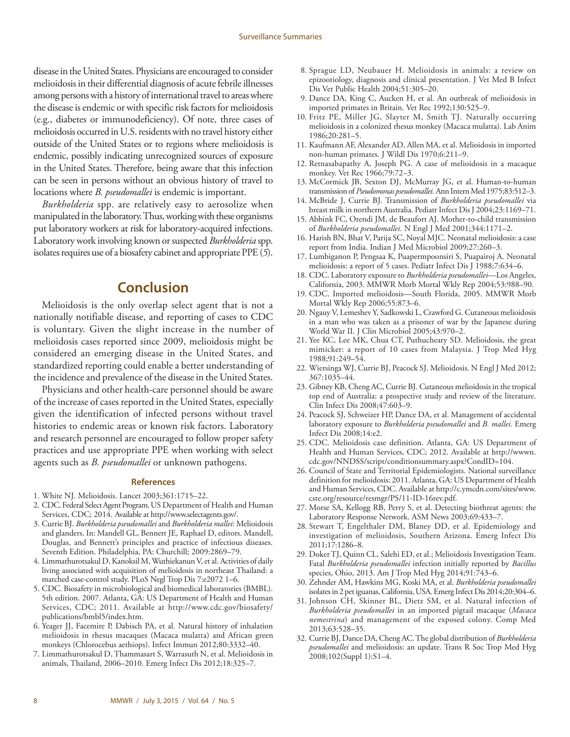<span id="page-9-0"></span>disease in the United States. Physicians are encouraged to consider melioidosis in their differential diagnosis of acute febrile illnesses among persons with a history of international travel to areas where the disease is endemic or with specific risk factors for melioidosis (e.g., diabetes or immunodeficiency). Of note, three cases of melioidosis occurred in U.S. residents with no travel history either outside of the United States or to regions where melioidosis is endemic, possibly indicating unrecognized sources of exposure in the United States. Therefore, being aware that this infection can be seen in persons without an obvious history of travel to locations where *B. pseudomallei* is endemic is important.

*Burkholderia* spp. are relatively easy to aerosolize when manipulated in the laboratory. Thus, working with these organisms put laboratory workers at risk for laboratory-acquired infections. Laboratory work involving known or suspected *Burkholderia* spp. isolates requires use of a biosafety cabinet and appropriate PPE (*5*).

# **Conclusion**

Melioidosis is the only overlap select agent that is not a nationally notifiable disease, and reporting of cases to CDC is voluntary. Given the slight increase in the number of melioidosis cases reported since 2009, melioidosis might be considered an emerging disease in the United States, and standardized reporting could enable a better understanding of the incidence and prevalence of the disease in the United States.

Physicians and other health-care personnel should be aware of the increase of cases reported in the United States, especially given the identification of infected persons without travel histories to endemic areas or known risk factors. Laboratory and research personnel are encouraged to follow proper safety practices and use appropriate PPE when working with select agents such as *B. pseudomallei* or unknown pathogens.

#### **References**

- 1. White NJ. Melioidosis. Lancet 2003;361:1715–22.
- 2. CDC. Federal Select Agent Program. US Department of Health and Human Services, CDC; 2014. Available at<http://www.selectagents.gov/>.
- 3. Currie BJ. *Burkholderia pseudomallei* and *Burkholderia mallei*: Melioidosis and glanders. In: Mandell GL, Bennett JE, Raphael D, editors. Mandell, Douglas, and Bennett's principles and practice of infectious diseases. Seventh Edition. Philadelphia, PA: Churchill; 2009:2869–79.
- 4. Limmathurotsakul D, Kanoksil M, Wuthiekanun V, et al. Activities of daily living associated with acquisition of melioidosis in northeast Thailand: a matched case-control study. PLoS Negl Trop Dis 7:e2072 1–6.
- 5. CDC. Biosafety in microbiological and biomedical laboratories (BMBL). 5th edition. 2007. Atlanta, GA: US Department of Health and Human Services, CDC; 2011. Available at [http://www.cdc.gov/biosafety/](http://www.cdc.gov/biosafety/publications/bmbl5/index.htm) [publications/bmbl5/index.htm](http://www.cdc.gov/biosafety/publications/bmbl5/index.htm).
- 6. Yeager JJ, Facemire P, Dabisch PA, et al. Natural history of inhalation melioidosis in rhesus macaques (Macaca mulatta) and African green monkeys (Chlorocebus aethiops). Infect Immun 2012;80:3332–40.
- 7. Limmathurotsakul D, Thammasart S, Warrasuth N, et al. Melioidosis in animals, Thailand, 2006–2010. Emerg Infect Dis 2012;18:325–7.
- 8. Sprague LD, Neubauer H. Melioidosis in animals: a review on epizootiology, diagnosis and clinical presentation. J Vet Med B Infect Dis Vet Public Health 2004;51:305–20.
- 9. Dance DA, King C, Aucken H, et al. An outbreak of melioidosis in imported primates in Britain. Vet Rec 1992;130:525–9.
- 10. Fritz PE, Miller JG, Slayter M, Smith TJ. Naturally occurring melioidosis in a colonized rhesus monkey (Macaca mulatta). Lab Anim 1986;20:281–5.
- 11. Kaufmann AF, Alexander AD, Allen MA, et al. Melioidosis in imported non-human primates. J Wildl Dis 1970;6:211–9.
- 12. Retnasabapathy A, Joseph PG. A case of melioidosis in a macaque monkey. Vet Rec 1966;79:72–3.
- 13. McCormick JB, Sexton DJ, McMurray JG, et al. Human-to-human transmission of *Pseudomonas pseudomallei.* Ann Intern Med 1975;83:512–3.
- 14. McBride J, Currie BJ. Transmission of *Burkholderia pseudomallei* via breast milk in northern Australia. Pediatr Infect Dis J 2004;23:1169–71.
- 15. Abbink FC, Orendi JM, de Beaufort AJ. Mother-to-child transmission of *Burkholderia pseudomallei*. N Engl J Med 2001;344:1171–2.
- 16. Harish BN, Bhat V, Parija SC, Noyal MJC. Neonatal melioidosis: a case report from India. Indian J Med Microbiol 2009;27:260–3.
- 17. Lumbiganon P, Pengsaa K, Puapermpoonsiri S, Puapairoj A. Neonatal melioidosis: a report of 5 cases. Pediatr Infect Dis J 1988;7:634–6.
- 18. CDC. Laboratory exposure to *Burkholderia pseudomallei—*Los Angeles, California, 2003. MMWR Morb Mortal Wkly Rep 2004;53:988–90.
- 19. CDC. Imported melioidosis—South Florida, 2005. MMWR Morb Mortal Wkly Rep 2006;55:873–6.
- 20. Ngauy V, Lemeshev Y, Sadkowski L, Crawford G. Cutaneous melioidosis in a man who was taken as a prisoner of war by the Japanese during World War II. J Clin Microbiol 2005;43:970–2.
- 21. Yee KC, Lee MK, Chua CT, Puthucheary SD. Melioidosis, the great mimicker: a report of 10 cases from Malaysia. J Trop Med Hyg 1988;91:249–54.
- 22. Wiersinga WJ, Currie BJ, Peacock SJ. Melioidosis. N Engl J Med 2012; 367:1035–44.
- 23. Gibney KB, Cheng AC, Currie BJ. Cutaneous melioidosis in the tropical top end of Australia: a prospective study and review of the literature. Clin Infect Dis 2008;47:603–9.
- 24. Peacock SJ, Schweizer HP, Dance DA, et al. Management of accidental laboratory exposure to *Burkholderia pseudomallei* and *B. mallei.* Emerg Infect Dis 2008;14:e2.
- 25. CDC. Melioidosis case definition. Atlanta, GA: US Department of Health and Human Services, CDC; 2012. Available at [http://wwwn.](http://wwwn.cdc.gov/NNDSS/script/conditionsummary.aspx?CondID=104) [cdc.gov/NNDSS/script/conditionsummary.aspx?CondID=104.](http://wwwn.cdc.gov/NNDSS/script/conditionsummary.aspx?CondID=104)
- 26. Council of State and Territorial Epidemiologists. National surveillance definition for melioidosis: 2011. Atlanta, GA: US Department of Health and Human Services, CDC. Available at [http://c.ymcdn.com/sites/www.](http://c.ymcdn.com/sites/www.cste.org/resource/resmgr/PS/11-ID-16rev.pdf) [cste.org/resource/resmgr/PS/11-ID-16rev.pdf.](http://c.ymcdn.com/sites/www.cste.org/resource/resmgr/PS/11-ID-16rev.pdf)
- 27. Morse SA, Kellogg RB, Perry S, et al. Detecting biothreat agents: the Laboratory Response Network. ASM News 2003;69:433–7.
- 28. Stewart T, Engelthaler DM, Blaney DD, et al. Epidemiology and investigation of melioidosis, Southern Arizona. Emerg Infect Dis 2011;17:1286–8.
- 29. Doker TJ, Quinn CL, Salehi ED, et al.; Melioidosis Investigation Team. Fatal *Burkholderia pseudomallei* infection initially reported by *Bacillus* species, Ohio, 2013. Am J Trop Med Hyg 2014;91:743–6.
- 30. Zehnder AM, Hawkins MG, Koski MA, et al. *Burkholderia pseudomallei* isolates in 2 pet iguanas, California, USA. Emerg Infect Dis 2014;20:304–6.
- 31. Johnson CH, Skinner BL, Dietz SM, et al. Natural infection of *Burkholderia pseudomallei* in an imported pigtail macaque (*Macaca nemestrina*) and management of the exposed colony. Comp Med 2013;63:528–35.
- 32. Currie BJ, Dance DA, Cheng AC. The global distribution of *Burkholderia pseudomallei* and melioidosis: an update. Trans R Soc Trop Med Hyg 2008;102(Suppl 1):S1–4.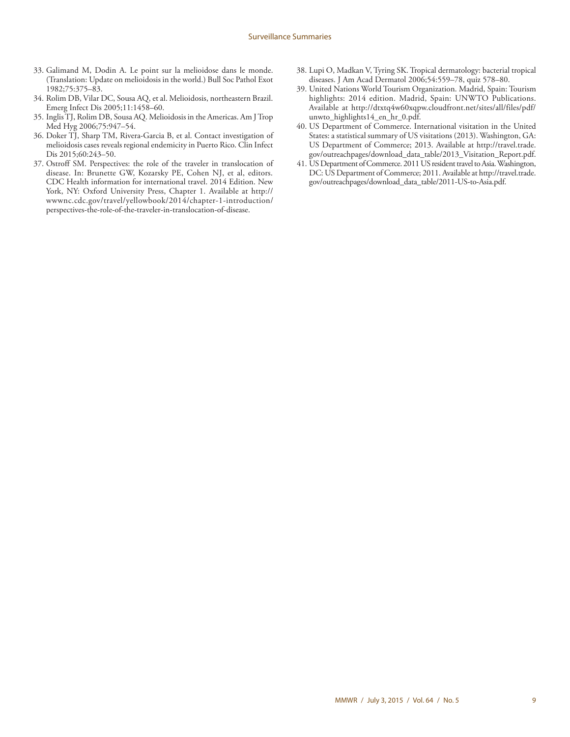- 33. Galimand M, Dodin A. Le point sur la melioidose dans le monde. (Translation: Update on melioidosis in the world.) Bull Soc Pathol Exot 1982;75:375–83.
- 34. Rolim DB, Vilar DC, Sousa AQ, et al. Melioidosis, northeastern Brazil. Emerg Infect Dis 2005;11:1458–60.
- 35. Inglis TJ, Rolim DB, Sousa AQ. Melioidosis in the Americas. Am J Trop Med Hyg 2006;75:947–54.
- 36. Doker TJ, Sharp TM, Rivera-Garcia B, et al. Contact investigation of melioidosis cases reveals regional endemicity in Puerto Rico. Clin Infect Dis 2015;60:243–50.
- 37. Ostroff SM. Perspectives: the role of the traveler in translocation of disease. In: Brunette GW, Kozarsky PE, Cohen NJ, et al, editors. CDC Health information for international travel. 2014 Edition. New York, NY: Oxford University Press, Chapter 1. Available at [http://](http://wwwnc.cdc.gov/travel/yellowbook/2014/chapter-1-introduction/perspectives-the-role-of-the-traveler-in-translocation-of-disease) [wwwnc.cdc.gov/travel/yellowbook/2014/chapter-1-introduction/](http://wwwnc.cdc.gov/travel/yellowbook/2014/chapter-1-introduction/perspectives-the-role-of-the-traveler-in-translocation-of-disease) [perspectives-the-role-of-the-traveler-in-translocation-of-disease.](http://wwwnc.cdc.gov/travel/yellowbook/2014/chapter-1-introduction/perspectives-the-role-of-the-traveler-in-translocation-of-disease)
- 38. Lupi O, Madkan V, Tyring SK. Tropical dermatology: bacterial tropical diseases. J Am Acad Dermatol 2006;54:559–78, quiz 578–80.
- 39. United Nations World Tourism Organization. Madrid, Spain: Tourism highlights: 2014 edition. Madrid, Spain: UNWTO Publications. Available at [http://dtxtq4w60xqpw.cloudfront.net/sites/all/files/pdf/](http://dtxtq4w60xqpw.cloudfront.net/sites/all/files/pdf/unwto_highlights14_en_hr_0.pdf) [unwto\\_highlights14\\_en\\_hr\\_0.pdf](http://dtxtq4w60xqpw.cloudfront.net/sites/all/files/pdf/unwto_highlights14_en_hr_0.pdf).
- 40. US Department of Commerce. International visitation in the United States: a statistical summary of US visitations (2013). Washington, GA: US Department of Commerce; 2013. Available at [http://travel.trade.](http://travel.trade.gov/outreachpages/download_data_table/2013_Visitation_Report.pdf) [gov/outreachpages/download\\_data\\_table/2013\\_Visitation\\_Report.pdf.](http://travel.trade.gov/outreachpages/download_data_table/2013_Visitation_Report.pdf)
- 41. US Department of Commerce. 2011 US resident travel to Asia. Washington, DC: US Department of Commerce; 2011. Available at [http://travel.trade.](http://travel.trade.gov/outreachpages/download_data_table/2011-US-to-Asia.pdf) [gov/outreachpages/download\\_data\\_table/2011-US-to-Asia.pdf.](http://travel.trade.gov/outreachpages/download_data_table/2011-US-to-Asia.pdf)